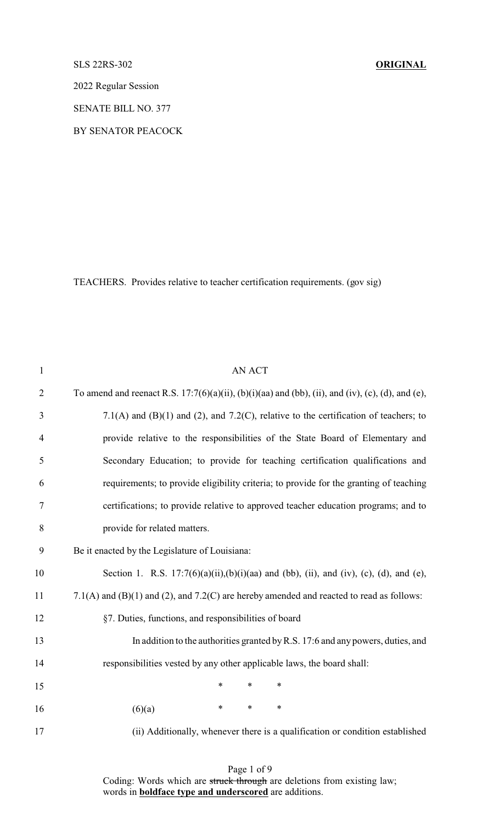## SLS 22RS-302 **ORIGINAL**

2022 Regular Session

SENATE BILL NO. 377

BY SENATOR PEACOCK

TEACHERS. Provides relative to teacher certification requirements. (gov sig)

| $\mathbf{1}$   | <b>AN ACT</b>                                                                                     |  |  |
|----------------|---------------------------------------------------------------------------------------------------|--|--|
| $\overline{2}$ | To amend and reenact R.S. 17:7(6)(a)(ii), (b)(i)(aa) and (bb), (ii), and (iv), (c), (d), and (e), |  |  |
| 3              | 7.1(A) and (B)(1) and (2), and 7.2(C), relative to the certification of teachers; to              |  |  |
| $\overline{4}$ | provide relative to the responsibilities of the State Board of Elementary and                     |  |  |
| 5              | Secondary Education; to provide for teaching certification qualifications and                     |  |  |
| 6              | requirements; to provide eligibility criteria; to provide for the granting of teaching            |  |  |
| 7              | certifications; to provide relative to approved teacher education programs; and to                |  |  |
| 8              | provide for related matters.                                                                      |  |  |
| 9              | Be it enacted by the Legislature of Louisiana:                                                    |  |  |
| 10             | Section 1. R.S. $17:7(6)(a)(ii),(b)(i)(aa)$ and (bb), (ii), and (iv), (c), (d), and (e),          |  |  |
| 11             | 7.1(A) and (B)(1) and (2), and 7.2(C) are hereby amended and reacted to read as follows:          |  |  |
| 12             | §7. Duties, functions, and responsibilities of board                                              |  |  |
| 13             | In addition to the authorities granted by R.S. 17:6 and any powers, duties, and                   |  |  |
| 14             | responsibilities vested by any other applicable laws, the board shall:                            |  |  |
| 15             | $\ast$<br>$\ast$<br>$\ast$                                                                        |  |  |
| 16             | $\ast$<br>*<br>*<br>(6)(a)                                                                        |  |  |
| 17             | (ii) Additionally, whenever there is a qualification or condition established                     |  |  |
|                |                                                                                                   |  |  |

Page 1 of 9 Coding: Words which are struck through are deletions from existing law; words in **boldface type and underscored** are additions.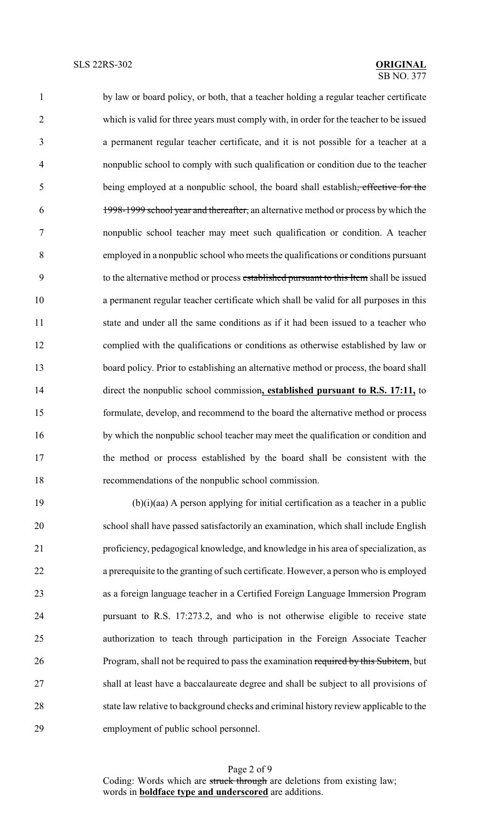by law or board policy, or both, that a teacher holding a regular teacher certificate which is valid for three years must comply with, in order for the teacher to be issued a permanent regular teacher certificate, and it is not possible for a teacher at a nonpublic school to comply with such qualification or condition due to the teacher being employed at a nonpublic school, the board shall establish, effective for the 1998-1999 school year and thereafter, an alternative method or process by which the nonpublic school teacher may meet such qualification or condition. A teacher employed in a nonpublic school who meets the qualifications or conditions pursuant to the alternative method or process established pursuant to this Item shall be issued a permanent regular teacher certificate which shall be valid for all purposes in this state and under all the same conditions as if it had been issued to a teacher who complied with the qualifications or conditions as otherwise established by law or board policy. Prior to establishing an alternative method or process, the board shall direct the nonpublic school commission**, established pursuant to R.S. 17:11,** to formulate, develop, and recommend to the board the alternative method or process by which the nonpublic school teacher may meet the qualification or condition and the method or process established by the board shall be consistent with the recommendations of the nonpublic school commission.

 (b)(i)(aa) A person applying for initial certification as a teacher in a public school shall have passed satisfactorily an examination, which shall include English proficiency, pedagogical knowledge, and knowledge in his area of specialization, as a prerequisite to the granting of such certificate. However, a person who is employed as a foreign language teacher in a Certified Foreign Language Immersion Program pursuant to R.S. 17:273.2, and who is not otherwise eligible to receive state authorization to teach through participation in the Foreign Associate Teacher 26 Program, shall not be required to pass the examination required by this Subitem, but shall at least have a baccalaureate degree and shall be subject to all provisions of state law relative to background checks and criminal history review applicable to the employment of public school personnel.

Page 2 of 9 Coding: Words which are struck through are deletions from existing law; words in **boldface type and underscored** are additions.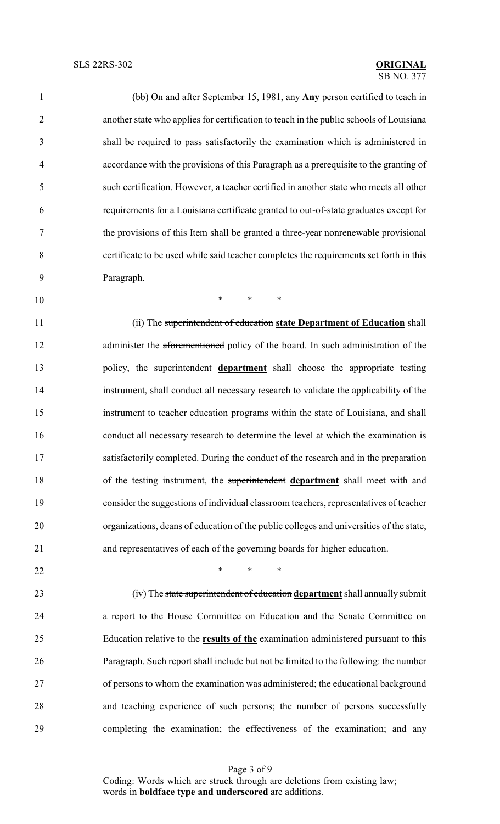(bb) On and after September 15, 1981, any **Any** person certified to teach in another state who applies for certification to teach in the public schools of Louisiana shall be required to pass satisfactorily the examination which is administered in accordance with the provisions of this Paragraph as a prerequisite to the granting of such certification. However, a teacher certified in another state who meets all other requirements for a Louisiana certificate granted to out-of-state graduates except for the provisions of this Item shall be granted a three-year nonrenewable provisional certificate to be used while said teacher completes the requirements set forth in this Paragraph.

\* \* \*

 (ii) The superintendent of education **state Department of Education** shall 12 administer the aforementioned policy of the board. In such administration of the policy, the superintendent **department** shall choose the appropriate testing instrument, shall conduct all necessary research to validate the applicability of the instrument to teacher education programs within the state of Louisiana, and shall conduct all necessary research to determine the level at which the examination is satisfactorily completed. During the conduct of the research and in the preparation of the testing instrument, the superintendent **department** shall meet with and consider the suggestions of individual classroom teachers, representatives of teacher organizations, deans of education of the public colleges and universities of the state, and representatives of each of the governing boards for higher education.

 $\ast$   $\ast$   $\ast$   $\ast$  (iv) The state superintendent of education **department** shall annually submit a report to the House Committee on Education and the Senate Committee on Education relative to the **results of the** examination administered pursuant to this 26 Paragraph. Such report shall include but not be limited to the following: the number of persons to whom the examination was administered; the educational background and teaching experience of such persons; the number of persons successfully completing the examination; the effectiveness of the examination; and any

> Page 3 of 9 Coding: Words which are struck through are deletions from existing law; words in **boldface type and underscored** are additions.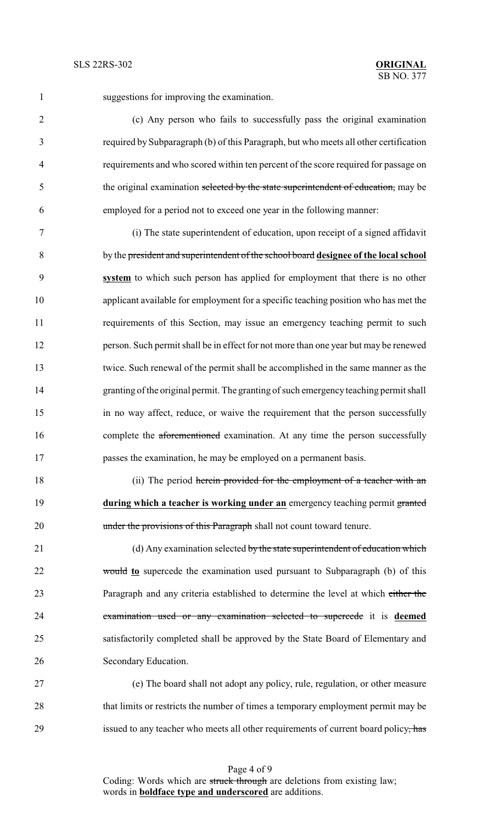suggestions for improving the examination.

 (c) Any person who fails to successfully pass the original examination required by Subparagraph (b) of this Paragraph, but who meets all other certification requirements and who scored within ten percent of the score required for passage on 5 the original examination selected by the state superintendent of education, may be employed for a period not to exceed one year in the following manner:

 (i) The state superintendent of education, upon receipt of a signed affidavit by the president and superintendent of the school board **designee of the local school system** to which such person has applied for employment that there is no other applicant available for employment for a specific teaching position who has met the requirements of this Section, may issue an emergency teaching permit to such person. Such permit shall be in effect for not more than one year but may be renewed twice. Such renewal of the permit shall be accomplished in the same manner as the granting of the original permit. The granting of such emergency teaching permit shall in no way affect, reduce, or waive the requirement that the person successfully 16 complete the aforementioned examination. At any time the person successfully passes the examination, he may be employed on a permanent basis.

18 (ii) The period herein provided for the employment of a teacher with an **during which a teacher is working under an** emergency teaching permit granted 20 under the provisions of this Paragraph shall not count toward tenure.

21 (d) Any examination selected by the state superintendent of education which would **to** supercede the examination used pursuant to Subparagraph (b) of this Paragraph and any criteria established to determine the level at which either the examination used or any examination selected to supercede it is **deemed** satisfactorily completed shall be approved by the State Board of Elementary and Secondary Education.

 (e) The board shall not adopt any policy, rule, regulation, or other measure that limits or restricts the number of times a temporary employment permit may be 29 issued to any teacher who meets all other requirements of current board policy, has

Page 4 of 9 Coding: Words which are struck through are deletions from existing law; words in **boldface type and underscored** are additions.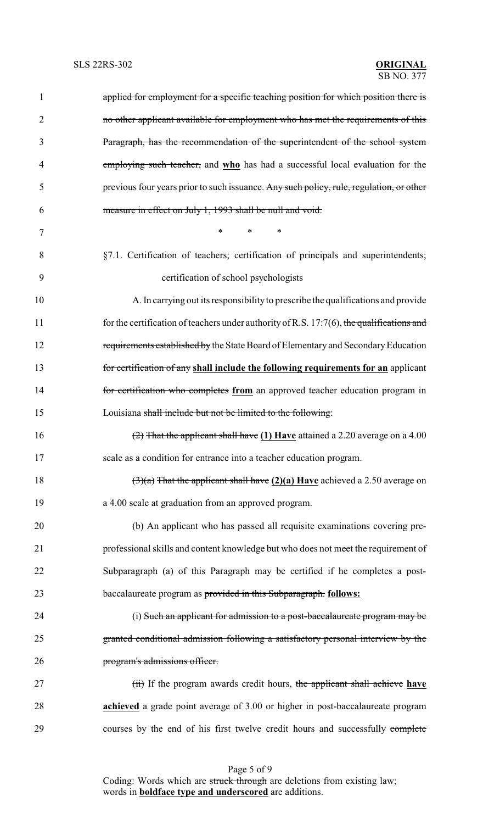| 1              | applied for employment for a specific teaching position for which position there is          |
|----------------|----------------------------------------------------------------------------------------------|
| $\overline{2}$ | no other applicant available for employment who has met the requirements of this             |
| 3              | Paragraph, has the recommendation of the superintendent of the school system                 |
| 4              | employing such teacher, and who has had a successful local evaluation for the                |
| 5              | previous four years prior to such issuance. Any such policy, rule, regulation, or other      |
| 6              | measure in effect on July 1, 1993 shall be null and void.                                    |
| 7              | $\ast$<br>$\ast$<br>$\ast$                                                                   |
| 8              | §7.1. Certification of teachers; certification of principals and superintendents;            |
| 9              | certification of school psychologists                                                        |
| 10             | A. In carrying out its responsibility to prescribe the qualifications and provide            |
| 11             | for the certification of teachers under authority of R.S. $17:7(6)$ , the qualifications and |
| 12             | requirements established by the State Board of Elementary and Secondary Education            |
| 13             | for certification of any shall include the following requirements for an applicant           |
| 14             | for certification who completes from an approved teacher education program in                |
| 15             | Louisiana shall include but not be limited to the following:                                 |
| 16             | $(2)$ That the applicant shall have (1) Have attained a 2.20 average on a 4.00               |
| 17             | scale as a condition for entrance into a teacher education program.                          |
| 18             | $(3)(a)$ That the applicant shall have $(2)(a)$ Have achieved a 2.50 average on              |
| 19             | a 4.00 scale at graduation from an approved program.                                         |
| 20             | (b) An applicant who has passed all requisite examinations covering pre-                     |
| 21             | professional skills and content knowledge but who does not meet the requirement of           |
| 22             | Subparagraph (a) of this Paragraph may be certified if he completes a post-                  |
| 23             | baccalaureate program as provided in this Subparagraph. <b>follows:</b>                      |
| 24             | (i) Such an applicant for admission to a post-baccalaureate program may be                   |
| 25             | granted conditional admission following a satisfactory personal interview by the             |
| 26             | program's admissions officer.                                                                |
| 27             | (ii) If the program awards credit hours, the applicant shall achieve have                    |
| 28             | achieved a grade point average of 3.00 or higher in post-baccalaureate program               |
| 29             | courses by the end of his first twelve credit hours and successfully complete                |

Page 5 of 9 Coding: Words which are struck through are deletions from existing law; words in **boldface type and underscored** are additions.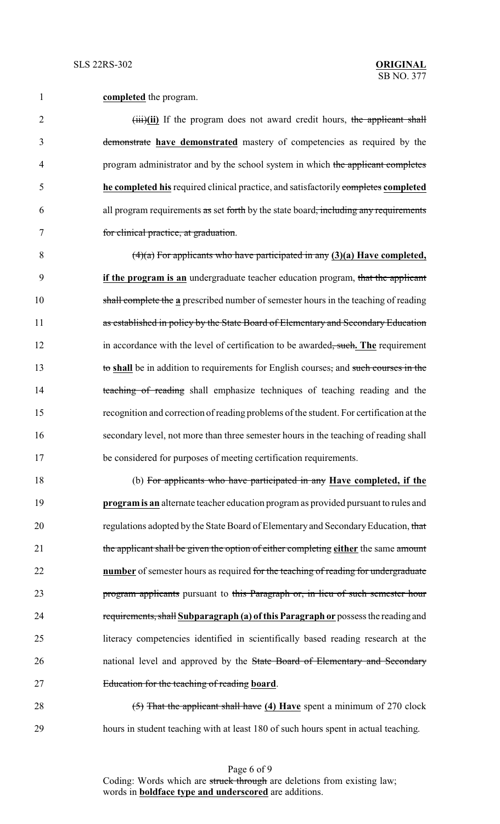**completed** the program.

2 (iii)(ii) If the program does not award credit hours, the applicant shall demonstrate **have demonstrated** mastery of competencies as required by the 4 program administrator and by the school system in which the applicant completes **he completed his** required clinical practice, and satisfactorily completes **completed** all program requirements as set forth by the state board, including any requirements for clinical practice, at graduation.

 (4)(a) For applicants who have participated in any **(3)(a) Have completed, if the program is an** undergraduate teacher education program, that the applicant shall complete the **a** prescribed number of semester hours in the teaching of reading 11 as established in policy by the State Board of Elementary and Secondary Education 12 in accordance with the level of certification to be awarded, such, The requirement to **shall** be in addition to requirements for English courses, and such courses in the 14 teaching of reading shall emphasize techniques of teaching reading and the recognition and correction of reading problems of the student. For certification at the secondary level, not more than three semester hours in the teaching of reading shall be considered for purposes of meeting certification requirements.

 (b) For applicants who have participated in any **Have completed, if the programis an** alternate teacher education program as provided pursuant to rules and 20 regulations adopted by the State Board of Elementary and Secondary Education, that the applicant shall be given the option of either completing **either** the same amount **number** of semester hours as required for the teaching of reading for undergraduate program applicants pursuant to this Paragraph or, in lieu of such semester hour requirements, shall **Subparagraph (a) ofthis Paragraph or** possess the reading and literacy competencies identified in scientifically based reading research at the 26 national level and approved by the State Board of Elementary and Secondary Education for the teaching of reading **board**.

 (5) That the applicant shall have **(4) Have** spent a minimum of 270 clock hours in student teaching with at least 180 of such hours spent in actual teaching.

> Page 6 of 9 Coding: Words which are struck through are deletions from existing law; words in **boldface type and underscored** are additions.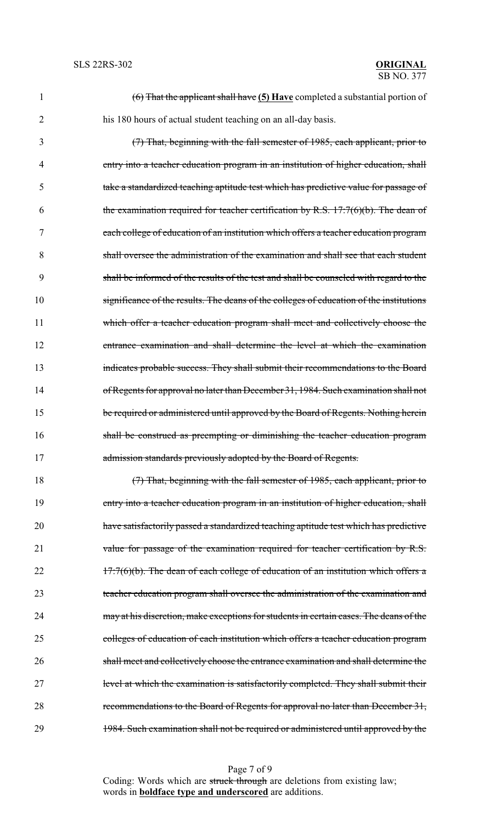| $\mathbf{1}$   | $(6)$ That the applicant shall have $(5)$ Have completed a substantial portion of       |
|----------------|-----------------------------------------------------------------------------------------|
| $\overline{2}$ | his 180 hours of actual student teaching on an all-day basis.                           |
| 3              | $(7)$ That, beginning with the fall semester of 1985, each applicant, prior to          |
| 4              | entry into a teacher education program in an institution of higher education, shall     |
| 5              | take a standardized teaching aptitude test which has predictive value for passage of    |
| 6              | the examination required for teacher certification by R.S. $17:7(6)(b)$ . The dean of   |
| 7              | each college of education of an institution which offers a teacher education program    |
| 8              | shall oversee the administration of the examination and shall see that each student     |
| 9              | shall be informed of the results of the test and shall be counseled with regard to the  |
| 10             | significance of the results. The deans of the colleges of education of the institutions |
| 11             | which offer a teacher education program shall meet and collectively choose the          |
| 12             | entrance examination and shall determine the level at which the examination             |
| 13             | indicates probable success. They shall submit their recommendations to the Board        |
| 14             | of Regents for approval no later than December 31, 1984. Such examination shall not     |
| 15             | be required or administered until approved by the Board of Regents. Nothing herein      |
| 16             | shall be construed as preempting or diminishing the teacher education program           |
| 17             | admission standards previously adopted by the Board of Regents.                         |
| 18             | $(7)$ That, beginning with the fall semester of 1985, each applicant, prior to          |
| 19             | entry into a teacher education program in an institution of higher education, shall     |
| 20             | have satisfactorily passed a standardized teaching aptitude test which has predictive   |
| 21             | value for passage of the examination required for teacher certification by R.S.         |
| 22             | $17:7(6)(b)$ . The dean of each college of education of an institution which offers a   |
| 23             | teacher education program shall oversee the administration of the examination and       |
| 24             | may at his discretion, make exceptions for students in certain cases. The deans of the  |
| 25             | colleges of education of each institution which offers a teacher education program      |
| 26             | shall meet and collectively choose the entrance examination and shall determine the     |
| 27             | level at which the examination is satisfactorily completed. They shall submit their     |

28 recommendations to the Board of Regents for approval no later than December 31, 29 1984. Such examination shall not be required or administered until approved by the

Page 7 of 9 Coding: Words which are struck through are deletions from existing law; words in **boldface type and underscored** are additions.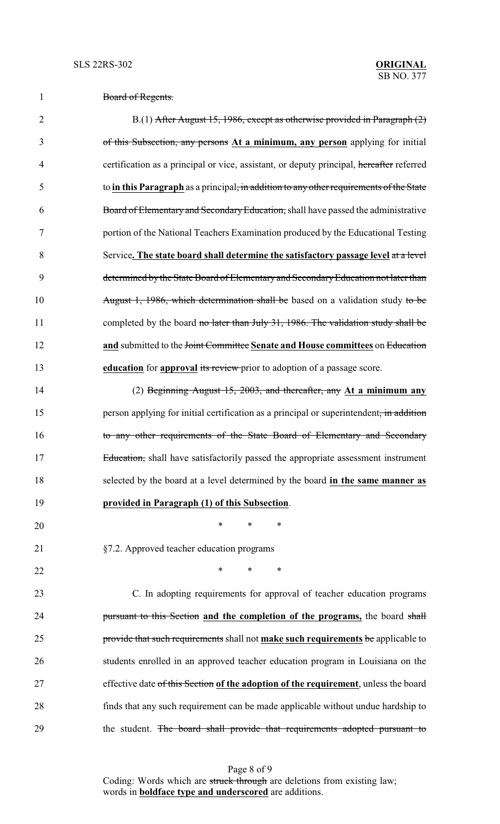| $D_{\text{cond}}$ of $D_{\text{cosulta}}$<br>Doard of Regents. |
|----------------------------------------------------------------|
|----------------------------------------------------------------|

2 B.(1) After August 15, 1986, except as otherwise provided in Paragraph (2) of this Subsection, any persons **At a minimum, any person** applying for initial certification as a principal or vice, assistant, or deputy principal, hereafter referred to **in this Paragraph** as a principal, in addition to any other requirements of the State Board of Elementary and SecondaryEducation, shall have passed the administrative portion of the National Teachers Examination produced by the Educational Testing Service**. The state board shall determine the satisfactory passage level** at a level 9 determined by the State Board of Elementary and Secondary Education not later than 10 August 1, 1986, which determination shall be based on a validation study to be 11 completed by the board no later than July 31, 1986. The validation study shall be **and** submitted to the <del>Joint Committee</del> Senate and House committees on Education **education** for **approval** its review prior to adoption of a passage score.

 (2) Beginning August 15, 2003, and thereafter, any **At a minimum any** 15 person applying for initial certification as a principal or superintendent, in addition to any other requirements of the State Board of Elementary and Secondary Education, shall have satisfactorily passed the appropriate assessment instrument selected by the board at a level determined by the board **in the same manner as**

- **provided in Paragraph (1) of this Subsection**.
- §7.2. Approved teacher education programs

\* \* \*

 $\ast$   $\ast$   $\ast$   $\ast$ 

 C. In adopting requirements for approval of teacher education programs pursuant to this Section **and the completion of the programs,** the board shall provide that such requirements shall not **make such requirements** be applicable to students enrolled in an approved teacher education program in Louisiana on the effective date of this Section **of the adoption of the requirement**, unless the board finds that any such requirement can be made applicable without undue hardship to 29 the student. The board shall provide that requirements adopted pursuant to

Page 8 of 9 Coding: Words which are struck through are deletions from existing law; words in **boldface type and underscored** are additions.